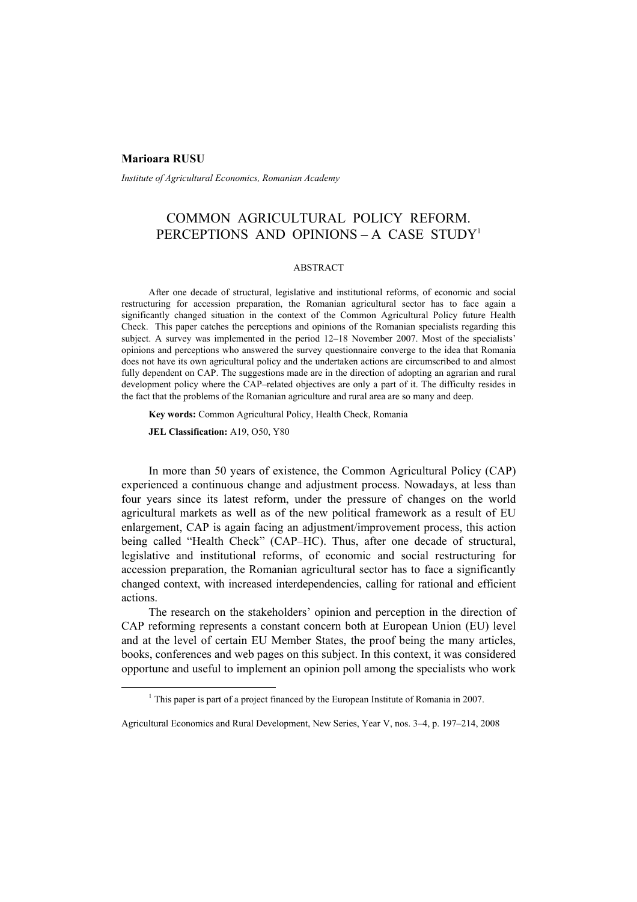#### **Marioara RUSU**

*Institute of Agricultural Economics, Romanian Academy* 

# COMMON AGRICULTURAL POLICY REFORM. PERCEPTIONS AND OPINIONS - A CASE STUDY<sup>1</sup>

#### ABSTRACT

After one decade of structural, legislative and institutional reforms, of economic and social restructuring for accession preparation, the Romanian agricultural sector has to face again a significantly changed situation in the context of the Common Agricultural Policy future Health Check. This paper catches the perceptions and opinions of the Romanian specialists regarding this subject. A survey was implemented in the period 12–18 November 2007. Most of the specialists' opinions and perceptions who answered the survey questionnaire converge to the idea that Romania does not have its own agricultural policy and the undertaken actions are circumscribed to and almost fully dependent on CAP. The suggestions made are in the direction of adopting an agrarian and rural development policy where the CAP–related objectives are only a part of it. The difficulty resides in the fact that the problems of the Romanian agriculture and rural area are so many and deep.

**Key words:** Common Agricultural Policy, Health Check, Romania

**JEL Classification:** A19, O50, Y80

In more than 50 years of existence, the Common Agricultural Policy (CAP) experienced a continuous change and adjustment process. Nowadays, at less than four years since its latest reform, under the pressure of changes on the world agricultural markets as well as of the new political framework as a result of EU enlargement, CAP is again facing an adjustment/improvement process, this action being called "Health Check" (CAP–HC). Thus, after one decade of structural, legislative and institutional reforms, of economic and social restructuring for accession preparation, the Romanian agricultural sector has to face a significantly changed context, with increased interdependencies, calling for rational and efficient actions.

The research on the stakeholders' opinion and perception in the direction of CAP reforming represents a constant concern both at European Union (EU) level and at the level of certain EU Member States, the proof being the many articles, books, conferences and web pages on this subject. In this context, it was considered opportune and useful to implement an opinion poll among the specialists who work

 $\frac{1}{1}$  $<sup>1</sup>$  This paper is part of a project financed by the European Institute of Romania in 2007.</sup>

Agricultural Economics and Rural Development, New Series, Year V, nos. 3–4, p. 197–214, 2008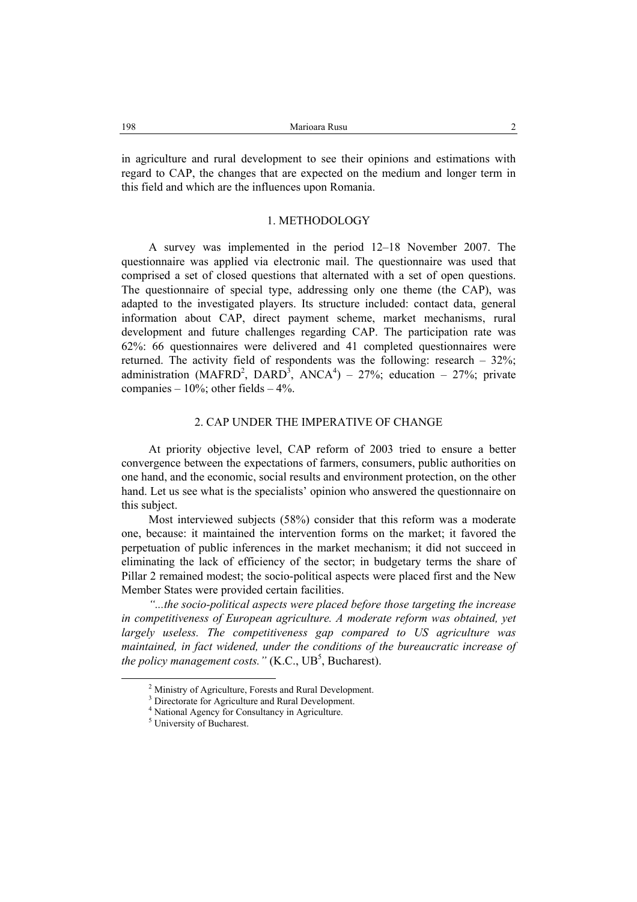in agriculture and rural development to see their opinions and estimations with regard to CAP, the changes that are expected on the medium and longer term in this field and which are the influences upon Romania.

## 1. METHODOLOGY

A survey was implemented in the period 12–18 November 2007. The questionnaire was applied via electronic mail. The questionnaire was used that comprised a set of closed questions that alternated with a set of open questions. The questionnaire of special type, addressing only one theme (the CAP), was adapted to the investigated players. Its structure included: contact data, general information about CAP, direct payment scheme, market mechanisms, rural development and future challenges regarding CAP. The participation rate was 62%: 66 questionnaires were delivered and 41 completed questionnaires were returned. The activity field of respondents was the following: research – 32%; administration (MAFRD<sup>2</sup>, DARD<sup>3</sup>, ANCA<sup>4</sup>) – 27%; education – 27%; private companies –  $10\%$ ; other fields –  $4\%$ .

## 2. CAP UNDER THE IMPERATIVE OF CHANGE

At priority objective level, CAP reform of 2003 tried to ensure a better convergence between the expectations of farmers, consumers, public authorities on one hand, and the economic, social results and environment protection, on the other hand. Let us see what is the specialists' opinion who answered the questionnaire on this subject.

Most interviewed subjects (58%) consider that this reform was a moderate one, because: it maintained the intervention forms on the market; it favored the perpetuation of public inferences in the market mechanism; it did not succeed in eliminating the lack of efficiency of the sector; in budgetary terms the share of Pillar 2 remained modest; the socio-political aspects were placed first and the New Member States were provided certain facilities.

*"...the socio-political aspects were placed before those targeting the increase in competitiveness of European agriculture. A moderate reform was obtained, yet largely useless. The competitiveness gap compared to US agriculture was maintained, in fact widened, under the conditions of the bureaucratic increase of the policy management costs.* "  $(K.C., UB<sup>5</sup>, Bucharest)$ .

 <sup>2</sup> <sup>2</sup> Ministry of Agriculture, Forests and Rural Development.

<sup>&</sup>lt;sup>3</sup> Directorate for Agriculture and Rural Development.

<sup>4</sup> National Agency for Consultancy in Agriculture.

<sup>&</sup>lt;sup>5</sup> University of Bucharest.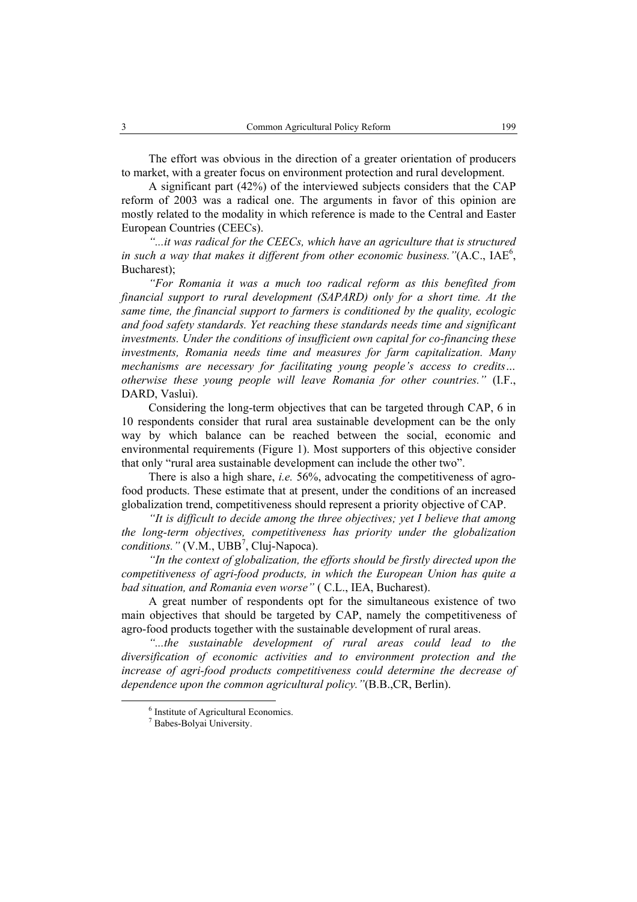The effort was obvious in the direction of a greater orientation of producers to market, with a greater focus on environment protection and rural development.

A significant part (42%) of the interviewed subjects considers that the CAP reform of 2003 was a radical one. The arguments in favor of this opinion are mostly related to the modality in which reference is made to the Central and Easter European Countries (CEECs).

*"...it was radical for the CEECs, which have an agriculture that is structured*  in such a way that makes it different from other economic business."(A.C.,  $IAE<sup>6</sup>$ , Bucharest);

*"For Romania it was a much too radical reform as this benefited from financial support to rural development (SAPARD) only for a short time. At the same time, the financial support to farmers is conditioned by the quality, ecologic and food safety standards. Yet reaching these standards needs time and significant investments. Under the conditions of insufficient own capital for co-financing these investments, Romania needs time and measures for farm capitalization. Many mechanisms are necessary for facilitating young people's access to credits… otherwise these young people will leave Romania for other countries."* (I.F., DARD, Vaslui).

Considering the long-term objectives that can be targeted through CAP, 6 in 10 respondents consider that rural area sustainable development can be the only way by which balance can be reached between the social, economic and environmental requirements (Figure 1). Most supporters of this objective consider that only "rural area sustainable development can include the other two".

There is also a high share, *i.e.* 56%, advocating the competitiveness of agrofood products. These estimate that at present, under the conditions of an increased globalization trend, competitiveness should represent a priority objective of CAP.

*"It is difficult to decide among the three objectives; yet I believe that among the long-term objectives, competitiveness has priority under the globalization conditions.*" (V.M., UBB<sup>7</sup>, Cluj-Napoca).

*"In the context of globalization, the efforts should be firstly directed upon the competitiveness of agri-food products, in which the European Union has quite a bad situation, and Romania even worse"* ( C.L., IEA, Bucharest).

A great number of respondents opt for the simultaneous existence of two main objectives that should be targeted by CAP, namely the competitiveness of agro-food products together with the sustainable development of rural areas.

*"...the sustainable development of rural areas could lead to the diversification of economic activities and to environment protection and the increase of agri-food products competitiveness could determine the decrease of dependence upon the common agricultural policy."*(B.B.,CR, Berlin).

 $\overline{6}$  $6$  Institute of Agricultural Economics.

<sup>7</sup> Babes-Bolyai University.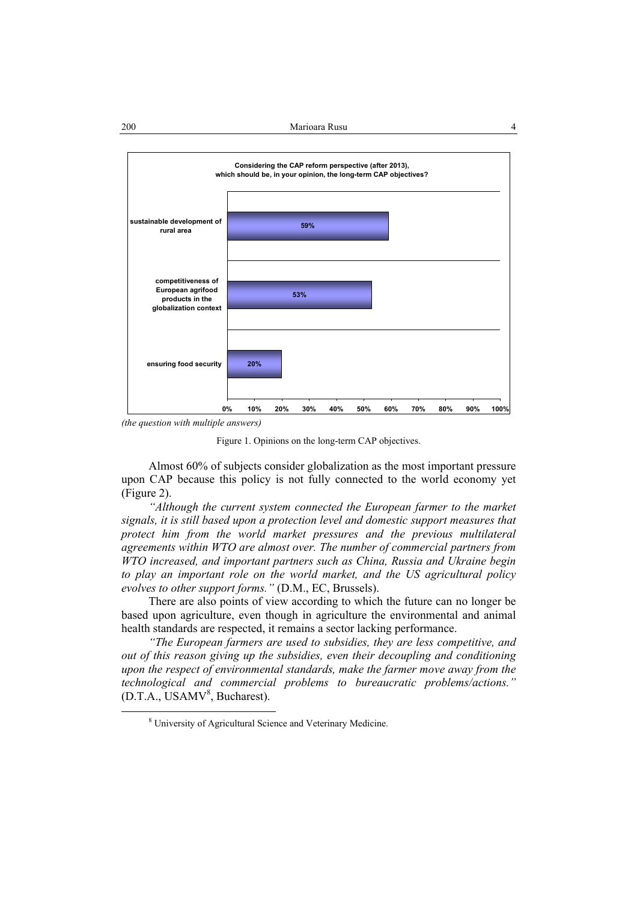

*(the question with multiple answers)* 

Figure 1. Opinions on the long-term CAP objectives.

Almost 60% of subjects consider globalization as the most important pressure upon CAP because this policy is not fully connected to the world economy yet (Figure 2).

*"Although the current system connected the European farmer to the market signals, it is still based upon a protection level and domestic support measures that protect him from the world market pressures and the previous multilateral agreements within WTO are almost over. The number of commercial partners from WTO increased, and important partners such as China, Russia and Ukraine begin to play an important role on the world market, and the US agricultural policy evolves to other support forms."* (D.M., EC, Brussels).

There are also points of view according to which the future can no longer be based upon agriculture, even though in agriculture the environmental and animal health standards are respected, it remains a sector lacking performance.

*"The European farmers are used to subsidies, they are less competitive, and out of this reason giving up the subsidies, even their decoupling and conditioning upon the respect of environmental standards, make the farmer move away from the technological and commercial problems to bureaucratic problems/actions."* (D.T.A., USAMV<sup>8</sup>, Bucharest).

 <sup>8</sup> University of Agricultural Science and Veterinary Medicine.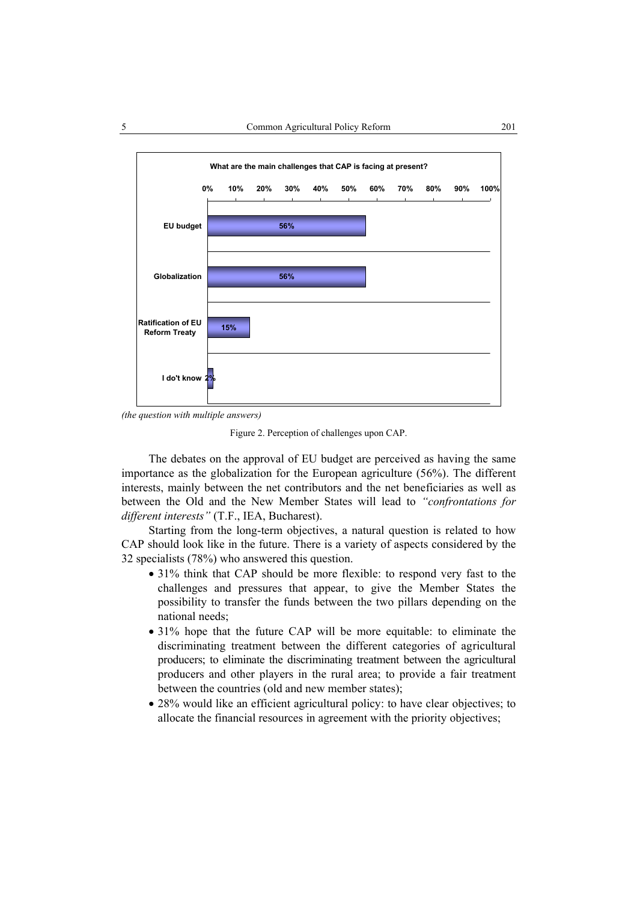

*<sup>(</sup>the question with multiple answers)* 

Figure 2. Perception of challenges upon CAP.

The debates on the approval of EU budget are perceived as having the same importance as the globalization for the European agriculture (56%). The different interests, mainly between the net contributors and the net beneficiaries as well as between the Old and the New Member States will lead to *"confrontations for different interests"* (T.F., IEA, Bucharest).

Starting from the long-term objectives, a natural question is related to how CAP should look like in the future. There is a variety of aspects considered by the 32 specialists (78%) who answered this question.

- 31% think that CAP should be more flexible: to respond very fast to the challenges and pressures that appear, to give the Member States the possibility to transfer the funds between the two pillars depending on the national needs;
- 31% hope that the future CAP will be more equitable: to eliminate the discriminating treatment between the different categories of agricultural producers; to eliminate the discriminating treatment between the agricultural producers and other players in the rural area; to provide a fair treatment between the countries (old and new member states);
- 28% would like an efficient agricultural policy: to have clear objectives; to allocate the financial resources in agreement with the priority objectives;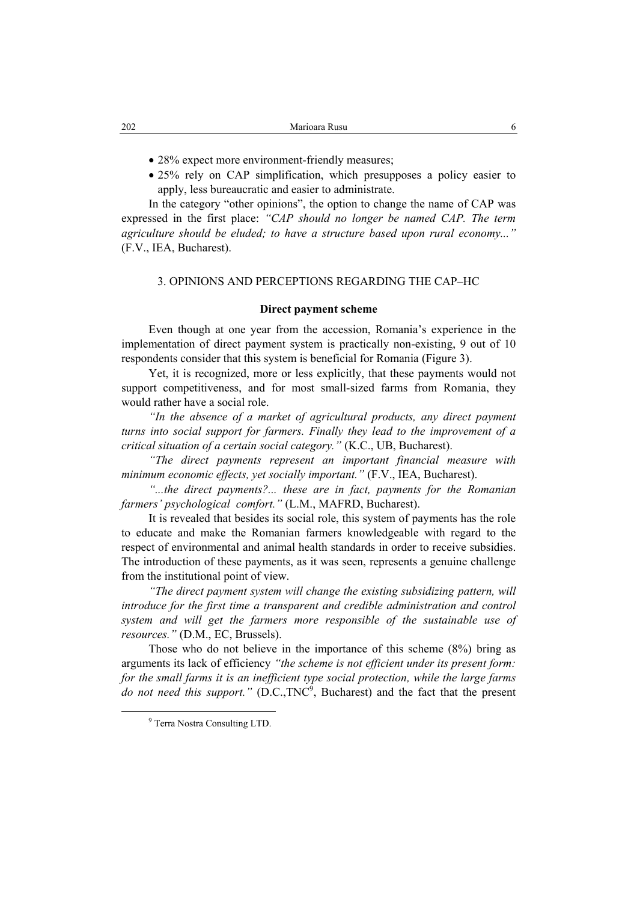- 28% expect more environment-friendly measures;
- 25% rely on CAP simplification, which presupposes a policy easier to apply, less bureaucratic and easier to administrate.

In the category "other opinions", the option to change the name of CAP was expressed in the first place: *"CAP should no longer be named CAP. The term agriculture should be eluded; to have a structure based upon rural economy..."* (F.V., IEA, Bucharest).

## 3. OPINIONS AND PERCEPTIONS REGARDING THE CAP–HC

#### **Direct payment scheme**

Even though at one year from the accession, Romania's experience in the implementation of direct payment system is practically non-existing, 9 out of 10 respondents consider that this system is beneficial for Romania (Figure 3).

Yet, it is recognized, more or less explicitly, that these payments would not support competitiveness, and for most small-sized farms from Romania, they would rather have a social role.

*"In the absence of a market of agricultural products, any direct payment turns into social support for farmers. Finally they lead to the improvement of a critical situation of a certain social category."* (K.C., UB, Bucharest).

*"The direct payments represent an important financial measure with minimum economic effects, yet socially important."* (F.V., IEA, Bucharest).

*"...the direct payments?... these are in fact, payments for the Romanian farmers' psychological comfort."* (L.M., MAFRD, Bucharest).

It is revealed that besides its social role, this system of payments has the role to educate and make the Romanian farmers knowledgeable with regard to the respect of environmental and animal health standards in order to receive subsidies. The introduction of these payments, as it was seen, represents a genuine challenge from the institutional point of view.

*"The direct payment system will change the existing subsidizing pattern, will introduce for the first time a transparent and credible administration and control system and will get the farmers more responsible of the sustainable use of resources."* (D.M., EC, Brussels).

Those who do not believe in the importance of this scheme (8%) bring as arguments its lack of efficiency *"the scheme is not efficient under its present form: for the small farms it is an inefficient type social protection, while the large farms*  do not need this support." (D.C.,TNC<sup>9</sup>, Bucharest) and the fact that the present

 <sup>9</sup> <sup>9</sup> Terra Nostra Consulting LTD.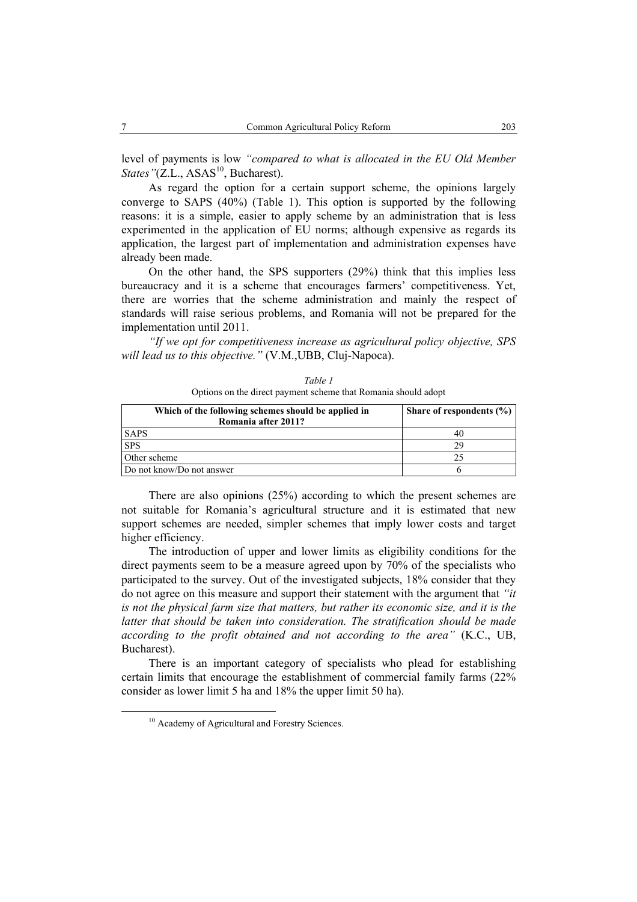level of payments is low *"compared to what is allocated in the EU Old Member States"*(Z.L., ASAS<sup>10</sup>, Bucharest).

As regard the option for a certain support scheme, the opinions largely converge to SAPS (40%) (Table 1). This option is supported by the following reasons: it is a simple, easier to apply scheme by an administration that is less experimented in the application of EU norms; although expensive as regards its application, the largest part of implementation and administration expenses have already been made.

On the other hand, the SPS supporters (29%) think that this implies less bureaucracy and it is a scheme that encourages farmers' competitiveness. Yet, there are worries that the scheme administration and mainly the respect of standards will raise serious problems, and Romania will not be prepared for the implementation until 2011.

*"If we opt for competitiveness increase as agricultural policy objective, SPS will lead us to this objective."* (V.M.,UBB, Cluj-Napoca).

|      | Options on the direct payment scheme that Romania should adopt             |                              |  |
|------|----------------------------------------------------------------------------|------------------------------|--|
|      | Which of the following schemes should be applied in<br>Romania after 2011? | Share of respondents $(\% )$ |  |
| SAPS |                                                                            | 40                           |  |

SPS 29 Other scheme 25 Do not know/Do not answer  $\overline{6}$ 

*Table 1*  Options on the direct payment scheme that Romania should adopt

There are also opinions (25%) according to which the present schemes are not suitable for Romania's agricultural structure and it is estimated that new support schemes are needed, simpler schemes that imply lower costs and target higher efficiency.

The introduction of upper and lower limits as eligibility conditions for the direct payments seem to be a measure agreed upon by 70% of the specialists who participated to the survey. Out of the investigated subjects, 18% consider that they do not agree on this measure and support their statement with the argument that *"it is not the physical farm size that matters, but rather its economic size, and it is the*  latter that should be taken into consideration. The stratification should be made *according to the profit obtained and not according to the area"* (K.C., UB, Bucharest).

There is an important category of specialists who plead for establishing certain limits that encourage the establishment of commercial family farms (22% consider as lower limit 5 ha and 18% the upper limit 50 ha).

<sup>&</sup>lt;sup>10</sup> Academy of Agricultural and Forestry Sciences.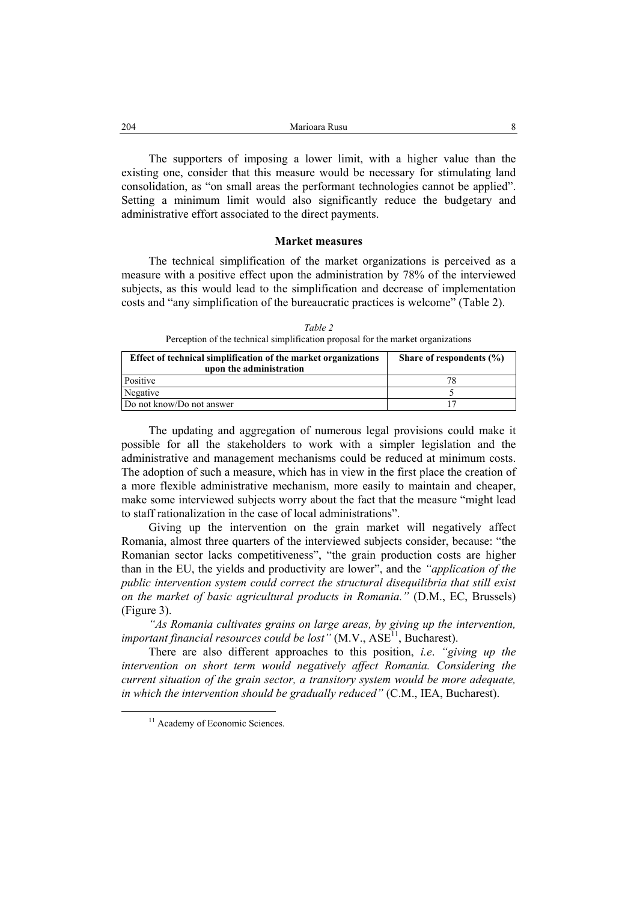The supporters of imposing a lower limit, with a higher value than the existing one, consider that this measure would be necessary for stimulating land consolidation, as "on small areas the performant technologies cannot be applied". Setting a minimum limit would also significantly reduce the budgetary and administrative effort associated to the direct payments.

#### **Market measures**

The technical simplification of the market organizations is perceived as a measure with a positive effect upon the administration by 78% of the interviewed subjects, as this would lead to the simplification and decrease of implementation costs and "any simplification of the bureaucratic practices is welcome" (Table 2).

*Table 2*  Perception of the technical simplification proposal for the market organizations

| Effect of technical simplification of the market organizations<br>upon the administration | Share of respondents $(\% )$ |
|-------------------------------------------------------------------------------------------|------------------------------|
| Positive                                                                                  |                              |
| Negative                                                                                  |                              |
| Do not know/Do not answer                                                                 |                              |

The updating and aggregation of numerous legal provisions could make it possible for all the stakeholders to work with a simpler legislation and the administrative and management mechanisms could be reduced at minimum costs. The adoption of such a measure, which has in view in the first place the creation of a more flexible administrative mechanism, more easily to maintain and cheaper, make some interviewed subjects worry about the fact that the measure "might lead to staff rationalization in the case of local administrations".

Giving up the intervention on the grain market will negatively affect Romania, almost three quarters of the interviewed subjects consider, because: "the Romanian sector lacks competitiveness", "the grain production costs are higher than in the EU, the yields and productivity are lower", and the *"application of the public intervention system could correct the structural disequilibria that still exist on the market of basic agricultural products in Romania."* (D.M., EC, Brussels) (Figure 3).

*"As Romania cultivates grains on large areas, by giving up the intervention, important financial resources could be lost*" (M.V.,  $ASE<sup>11</sup>$ , Bucharest).

There are also different approaches to this position, *i.e*. *"giving up the*  intervention on short term would negatively affect Romania. Considering the *current situation of the grain sector, a transitory system would be more adequate, in which the intervention should be gradually reduced"* (C.M., IEA, Bucharest).

<sup>&</sup>lt;sup>11</sup> Academy of Economic Sciences.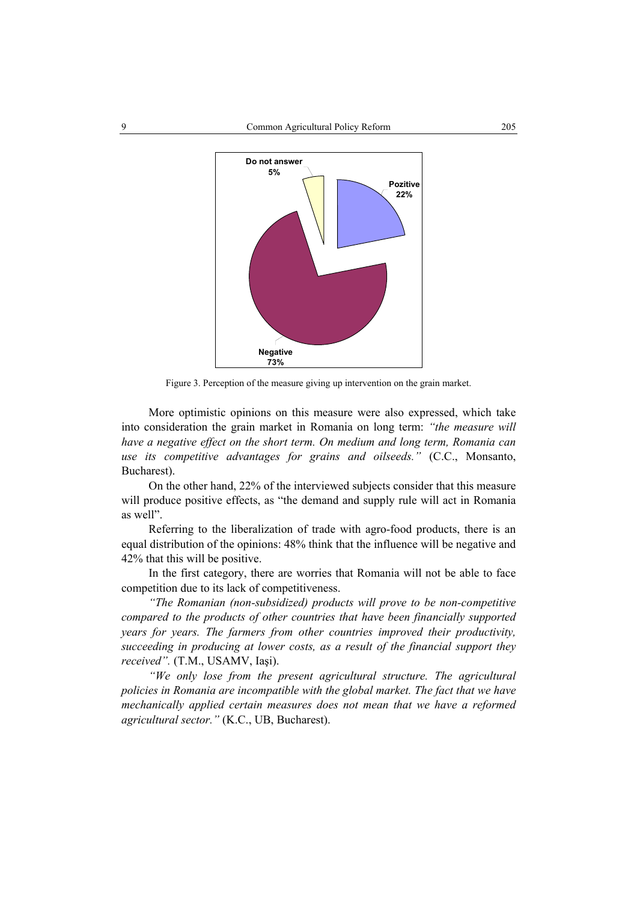

Figure 3. Perception of the measure giving up intervention on the grain market.

More optimistic opinions on this measure were also expressed, which take into consideration the grain market in Romania on long term: *"the measure will have a negative effect on the short term. On medium and long term, Romania can use its competitive advantages for grains and oilseeds."* (C.C., Monsanto, Bucharest).

On the other hand, 22% of the interviewed subjects consider that this measure will produce positive effects, as "the demand and supply rule will act in Romania as well".

Referring to the liberalization of trade with agro-food products, there is an equal distribution of the opinions: 48% think that the influence will be negative and 42% that this will be positive.

In the first category, there are worries that Romania will not be able to face competition due to its lack of competitiveness.

*"The Romanian (non-subsidized) products will prove to be non-competitive compared to the products of other countries that have been financially supported years for years. The farmers from other countries improved their productivity, succeeding in producing at lower costs, as a result of the financial support they received".* (T.M., USAMV, Iaşi).

*"We only lose from the present agricultural structure. The agricultural policies in Romania are incompatible with the global market. The fact that we have mechanically applied certain measures does not mean that we have a reformed agricultural sector."* (K.C., UB, Bucharest).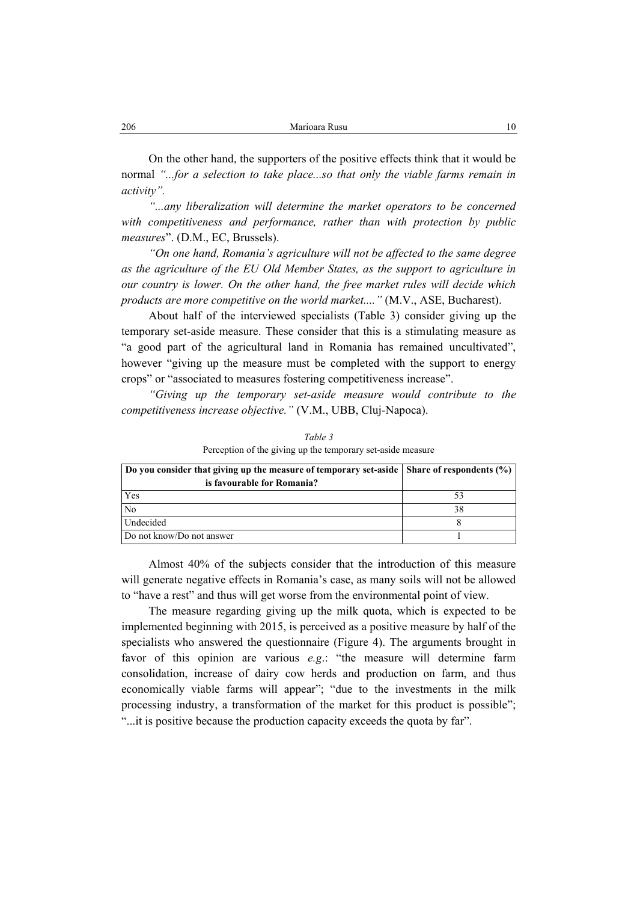On the other hand, the supporters of the positive effects think that it would be normal *"...for a selection to take place...so that only the viable farms remain in activity".*

*"...any liberalization will determine the market operators to be concerned with competitiveness and performance, rather than with protection by public measures*". (D.M., EC, Brussels).

*"On one hand, Romania's agriculture will not be affected to the same degree as the agriculture of the EU Old Member States, as the support to agriculture in our country is lower. On the other hand, the free market rules will decide which products are more competitive on the world market...."* (M.V., ASE, Bucharest).

About half of the interviewed specialists (Table 3) consider giving up the temporary set-aside measure. These consider that this is a stimulating measure as "a good part of the agricultural land in Romania has remained uncultivated", however "giving up the measure must be completed with the support to energy crops" or "associated to measures fostering competitiveness increase".

*"Giving up the temporary set-aside measure would contribute to the competitiveness increase objective."* (V.M., UBB, Cluj-Napoca).

| Do you consider that giving up the measure of temporary set-aside   Share of respondents (%) |  |
|----------------------------------------------------------------------------------------------|--|
| is favourable for Romania?                                                                   |  |
| Yes                                                                                          |  |
| N <sub>0</sub>                                                                               |  |
| Undecided                                                                                    |  |
| Do not know/Do not answer                                                                    |  |

*Table 3*  Perception of the giving up the temporary set-aside measure

Almost 40% of the subjects consider that the introduction of this measure will generate negative effects in Romania's case, as many soils will not be allowed to "have a rest" and thus will get worse from the environmental point of view.

The measure regarding giving up the milk quota, which is expected to be implemented beginning with 2015, is perceived as a positive measure by half of the specialists who answered the questionnaire (Figure 4). The arguments brought in favor of this opinion are various *e.g*.: "the measure will determine farm consolidation, increase of dairy cow herds and production on farm, and thus economically viable farms will appear"; "due to the investments in the milk processing industry, a transformation of the market for this product is possible"; "...it is positive because the production capacity exceeds the quota by far".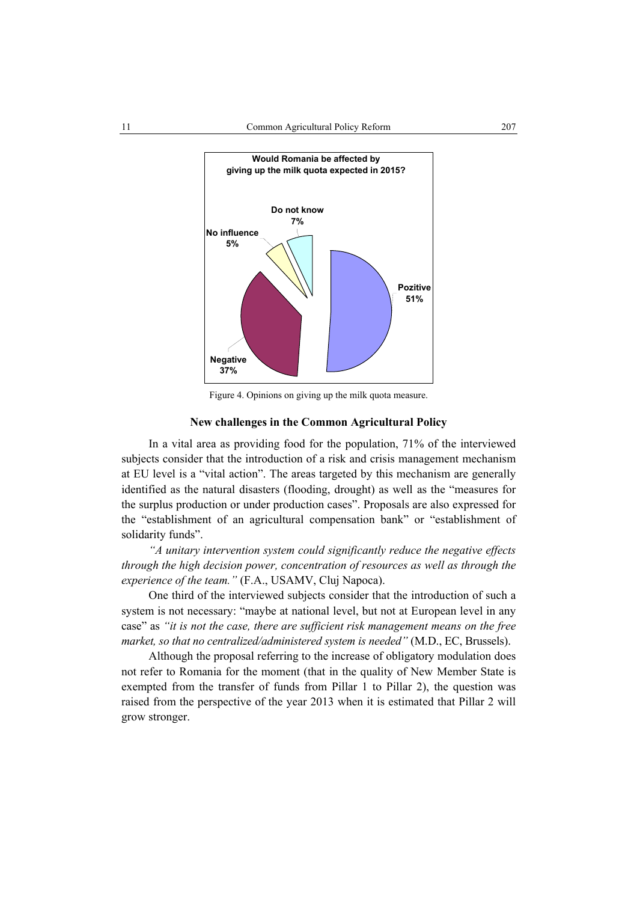

Figure 4. Opinions on giving up the milk quota measure.

#### **New challenges in the Common Agricultural Policy**

In a vital area as providing food for the population, 71% of the interviewed subjects consider that the introduction of a risk and crisis management mechanism at EU level is a "vital action". The areas targeted by this mechanism are generally identified as the natural disasters (flooding, drought) as well as the "measures for the surplus production or under production cases". Proposals are also expressed for the "establishment of an agricultural compensation bank" or "establishment of solidarity funds".

*"A unitary intervention system could significantly reduce the negative effects through the high decision power, concentration of resources as well as through the experience of the team."* (F.A., USAMV, Cluj Napoca).

One third of the interviewed subjects consider that the introduction of such a system is not necessary: "maybe at national level, but not at European level in any case" as *"it is not the case, there are sufficient risk management means on the free market, so that no centralized/administered system is needed"* (M.D., EC, Brussels).

Although the proposal referring to the increase of obligatory modulation does not refer to Romania for the moment (that in the quality of New Member State is exempted from the transfer of funds from Pillar 1 to Pillar 2), the question was raised from the perspective of the year 2013 when it is estimated that Pillar 2 will grow stronger.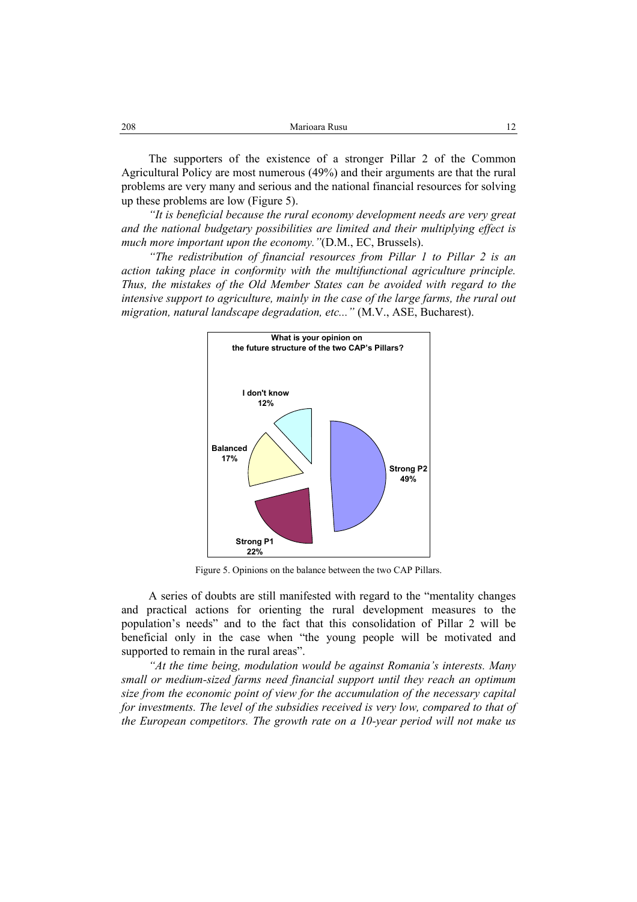| 208 | Marioara Rusu |  |
|-----|---------------|--|
|     |               |  |

The supporters of the existence of a stronger Pillar 2 of the Common Agricultural Policy are most numerous (49%) and their arguments are that the rural problems are very many and serious and the national financial resources for solving up these problems are low (Figure 5).

*"It is beneficial because the rural economy development needs are very great and the national budgetary possibilities are limited and their multiplying effect is much more important upon the economy."*(D.M., EC, Brussels).

*"The redistribution of financial resources from Pillar 1 to Pillar 2 is an action taking place in conformity with the multifunctional agriculture principle. Thus, the mistakes of the Old Member States can be avoided with regard to the*  intensive support to agriculture, mainly in the case of the large farms, the rural out *migration, natural landscape degradation, etc..."* (M.V., ASE, Bucharest).



Figure 5. Opinions on the balance between the two CAP Pillars.

A series of doubts are still manifested with regard to the "mentality changes and practical actions for orienting the rural development measures to the population's needs" and to the fact that this consolidation of Pillar 2 will be beneficial only in the case when "the young people will be motivated and supported to remain in the rural areas".

*"At the time being, modulation would be against Romania's interests. Many small or medium-sized farms need financial support until they reach an optimum size from the economic point of view for the accumulation of the necessary capital for investments. The level of the subsidies received is very low, compared to that of the European competitors. The growth rate on a 10-year period will not make us*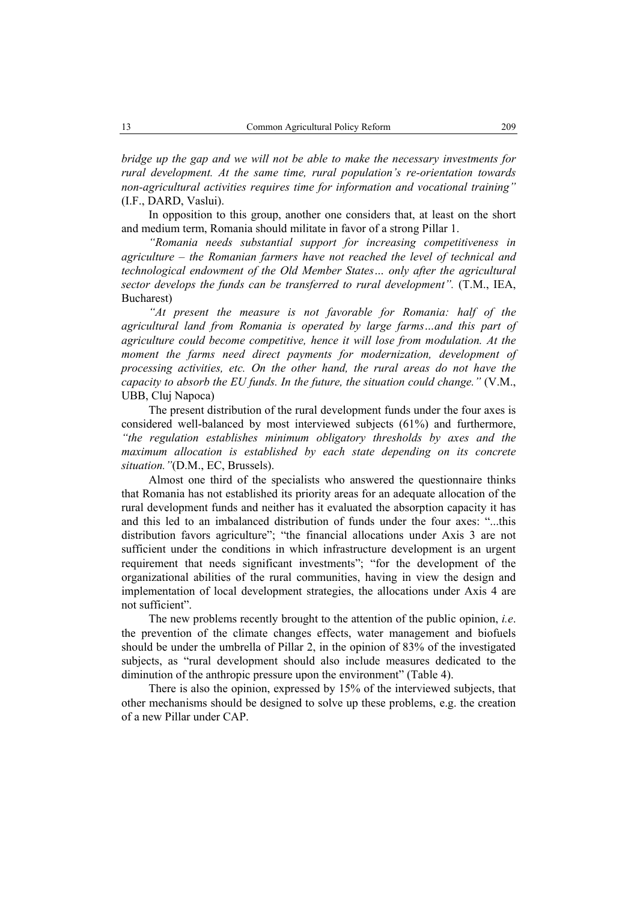*bridge up the gap and we will not be able to make the necessary investments for rural development. At the same time, rural population's re-orientation towards non-agricultural activities requires time for information and vocational training"*  (I.F., DARD, Vaslui).

In opposition to this group, another one considers that, at least on the short and medium term, Romania should militate in favor of a strong Pillar 1.

*"Romania needs substantial support for increasing competitiveness in agriculture – the Romanian farmers have not reached the level of technical and technological endowment of the Old Member States… only after the agricultural sector develops the funds can be transferred to rural development".* (T.M., IEA, Bucharest)

*"At present the measure is not favorable for Romania: half of the agricultural land from Romania is operated by large farms…and this part of agriculture could become competitive, hence it will lose from modulation. At the moment the farms need direct payments for modernization, development of processing activities, etc. On the other hand, the rural areas do not have the capacity to absorb the EU funds. In the future, the situation could change."* (V.M., UBB, Cluj Napoca)

The present distribution of the rural development funds under the four axes is considered well-balanced by most interviewed subjects (61%) and furthermore, *"the regulation establishes minimum obligatory thresholds by axes and the maximum allocation is established by each state depending on its concrete situation."*(D.M., EC, Brussels).

Almost one third of the specialists who answered the questionnaire thinks that Romania has not established its priority areas for an adequate allocation of the rural development funds and neither has it evaluated the absorption capacity it has and this led to an imbalanced distribution of funds under the four axes: "...this distribution favors agriculture"; "the financial allocations under Axis 3 are not sufficient under the conditions in which infrastructure development is an urgent requirement that needs significant investments"; "for the development of the organizational abilities of the rural communities, having in view the design and implementation of local development strategies, the allocations under Axis 4 are not sufficient".

The new problems recently brought to the attention of the public opinion, *i.e*. the prevention of the climate changes effects, water management and biofuels should be under the umbrella of Pillar 2, in the opinion of 83% of the investigated subjects, as "rural development should also include measures dedicated to the diminution of the anthropic pressure upon the environment" (Table 4).

There is also the opinion, expressed by 15% of the interviewed subjects, that other mechanisms should be designed to solve up these problems, e.g. the creation of a new Pillar under CAP.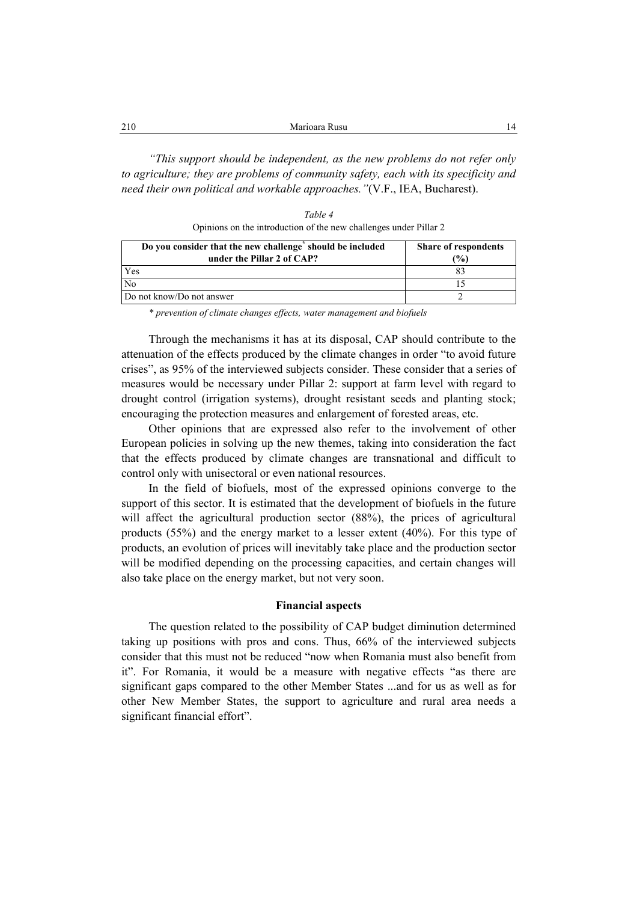| 210 | Marioara Rusu                                                                        |
|-----|--------------------------------------------------------------------------------------|
|     |                                                                                      |
|     | "This support should be independent, as the new problems do not refer only           |
|     | to agriculture; they are problems of community safety, each with its specificity and |

*Table 4* 

*need their own political and workable approaches."*(V.F., IEA, Bucharest).

Opinions on the introduction of the new challenges under Pillar 2

| Do you consider that the new challenge should be included<br>under the Pillar 2 of CAP? | <b>Share of respondents</b><br>(%) |
|-----------------------------------------------------------------------------------------|------------------------------------|
| Yes                                                                                     |                                    |
| No                                                                                      |                                    |
| Do not know/Do not answer                                                               |                                    |

*\* prevention of climate changes effects, water management and biofuels* 

Through the mechanisms it has at its disposal, CAP should contribute to the attenuation of the effects produced by the climate changes in order "to avoid future crises", as 95% of the interviewed subjects consider. These consider that a series of measures would be necessary under Pillar 2: support at farm level with regard to drought control (irrigation systems), drought resistant seeds and planting stock; encouraging the protection measures and enlargement of forested areas, etc.

Other opinions that are expressed also refer to the involvement of other European policies in solving up the new themes, taking into consideration the fact that the effects produced by climate changes are transnational and difficult to control only with unisectoral or even national resources.

In the field of biofuels, most of the expressed opinions converge to the support of this sector. It is estimated that the development of biofuels in the future will affect the agricultural production sector (88%), the prices of agricultural products (55%) and the energy market to a lesser extent (40%). For this type of products, an evolution of prices will inevitably take place and the production sector will be modified depending on the processing capacities, and certain changes will also take place on the energy market, but not very soon.

## **Financial aspects**

The question related to the possibility of CAP budget diminution determined taking up positions with pros and cons. Thus, 66% of the interviewed subjects consider that this must not be reduced "now when Romania must also benefit from it". For Romania, it would be a measure with negative effects "as there are significant gaps compared to the other Member States ...and for us as well as for other New Member States, the support to agriculture and rural area needs a significant financial effort".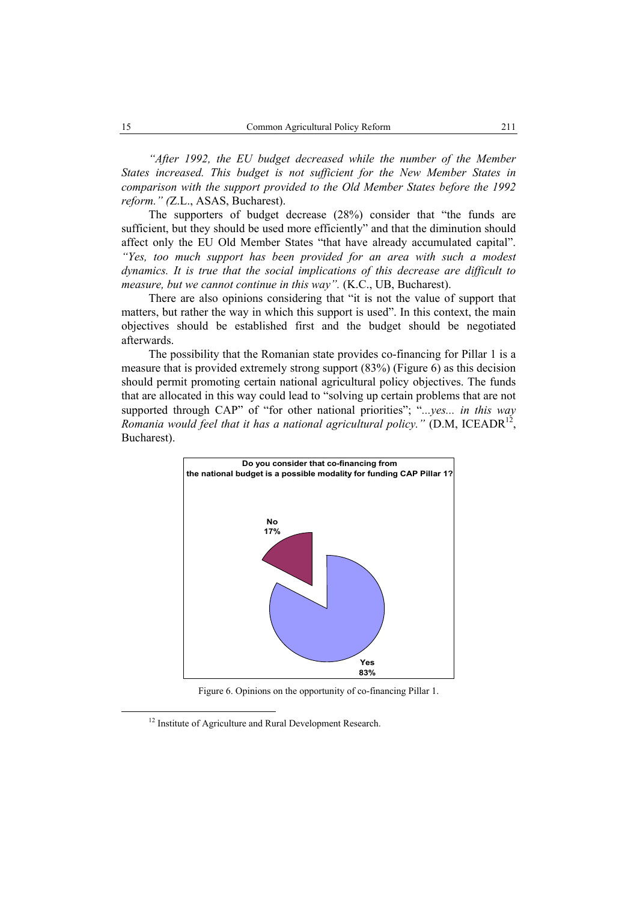*"After 1992, the EU budget decreased while the number of the Member States increased. This budget is not sufficient for the New Member States in comparison with the support provided to the Old Member States before the 1992 reform." (*Z.L., ASAS, Bucharest).

The supporters of budget decrease (28%) consider that "the funds are sufficient, but they should be used more efficiently" and that the diminution should affect only the EU Old Member States "that have already accumulated capital". *"Yes, too much support has been provided for an area with such a modest dynamics. It is true that the social implications of this decrease are difficult to measure, but we cannot continue in this way".* (K.C., UB, Bucharest).

There are also opinions considering that "it is not the value of support that matters, but rather the way in which this support is used". In this context, the main objectives should be established first and the budget should be negotiated afterwards.

The possibility that the Romanian state provides co-financing for Pillar 1 is a measure that is provided extremely strong support (83%) (Figure 6) as this decision should permit promoting certain national agricultural policy objectives. The funds that are allocated in this way could lead to "solving up certain problems that are not supported through CAP" of "for other national priorities"; "*...yes... in this way Romania would feel that it has a national agricultural policy.*" (D.M, ICEADR<sup>12</sup>, Bucharest).



Figure 6. Opinions on the opportunity of co-financing Pillar 1.

<sup>&</sup>lt;sup>12</sup> Institute of Agriculture and Rural Development Research.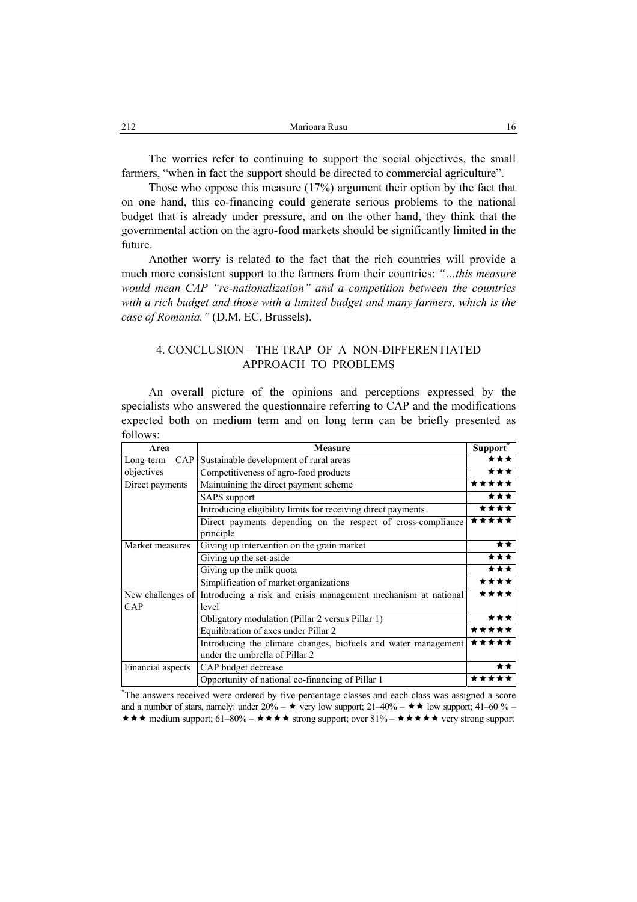The worries refer to continuing to support the social objectives, the small farmers, "when in fact the support should be directed to commercial agriculture".

Those who oppose this measure (17%) argument their option by the fact that on one hand, this co-financing could generate serious problems to the national budget that is already under pressure, and on the other hand, they think that the governmental action on the agro-food markets should be significantly limited in the future.

Another worry is related to the fact that the rich countries will provide a much more consistent support to the farmers from their countries: *"…this measure would mean CAP "re-nationalization" and a competition between the countries*  with a rich budget and those with a limited budget and many farmers, which is the *case of Romania."* (D.M, EC, Brussels).

## 4. CONCLUSION – THE TRAP OF A NON-DIFFERENTIATED APPROACH TO PROBLEMS

An overall picture of the opinions and perceptions expressed by the specialists who answered the questionnaire referring to CAP and the modifications expected both on medium term and on long term can be briefly presented as follows:

| Area                     | <b>Measure</b>                                                                                   | Support <sup>*</sup> |
|--------------------------|--------------------------------------------------------------------------------------------------|----------------------|
| <b>CAP</b><br>Long-term  | Sustainable development of rural areas                                                           | ***                  |
| objectives               | Competitiveness of agro-food products                                                            | ***                  |
| Direct payments          | Maintaining the direct payment scheme                                                            | *****                |
|                          | <b>SAPS</b> support                                                                              | ***                  |
|                          | Introducing eligibility limits for receiving direct payments                                     |                      |
|                          | Direct payments depending on the respect of cross-compliance<br>principle                        | *****                |
| Market measures          | Giving up intervention on the grain market                                                       | **                   |
|                          | Giving up the set-aside                                                                          | ***                  |
|                          | Giving up the milk quota                                                                         | ***                  |
|                          | Simplification of market organizations                                                           | ****                 |
| New challenges of<br>CAP | Introducing a risk and crisis management mechanism at national<br>level                          | ****                 |
|                          | Obligatory modulation (Pillar 2 versus Pillar 1)                                                 | ***                  |
|                          | Equilibration of axes under Pillar 2                                                             | *****                |
|                          | Introducing the climate changes, biofuels and water management<br>under the umbrella of Pillar 2 | *****                |
| Financial aspects        | CAP budget decrease                                                                              |                      |
|                          | Opportunity of national co-financing of Pillar 1                                                 | ***                  |

**\*** The answers received were ordered by five percentage classes and each class was assigned a score and a number of stars, namely: under  $20\% - \star \text{ very low support}; 21–40\% - \star \star \text{ low support}; 41–60\% \star \star \star$  medium support; 61–80% –  $\star \star \star \star$  strong support; over 81% –  $\star \star \star \star \star$  very strong support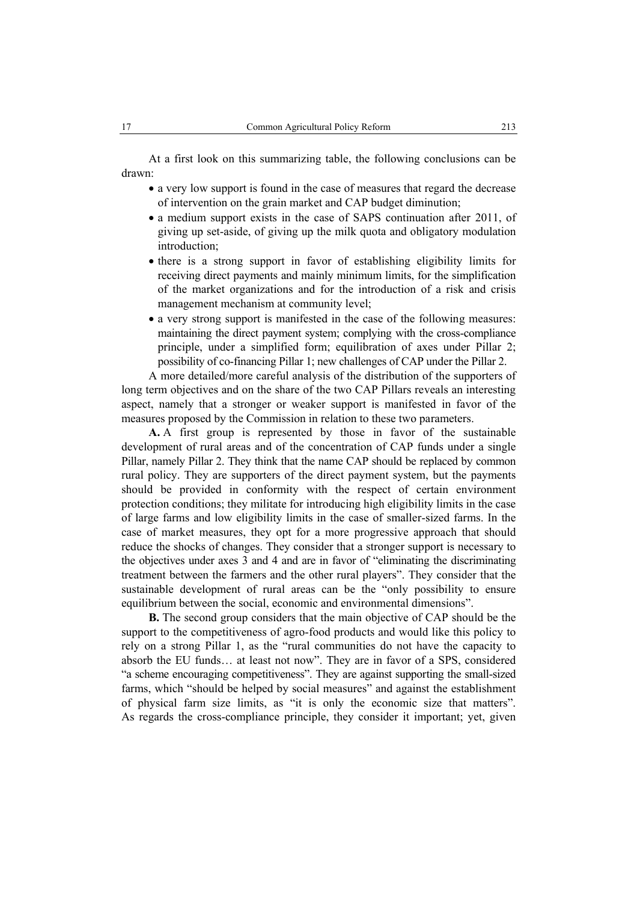At a first look on this summarizing table, the following conclusions can be drawn:

- a very low support is found in the case of measures that regard the decrease of intervention on the grain market and CAP budget diminution;
- a medium support exists in the case of SAPS continuation after 2011, of giving up set-aside, of giving up the milk quota and obligatory modulation introduction;
- there is a strong support in favor of establishing eligibility limits for receiving direct payments and mainly minimum limits, for the simplification of the market organizations and for the introduction of a risk and crisis management mechanism at community level;
- a very strong support is manifested in the case of the following measures: maintaining the direct payment system; complying with the cross-compliance principle, under a simplified form; equilibration of axes under Pillar 2; possibility of co-financing Pillar 1; new challenges of CAP under the Pillar 2.

A more detailed/more careful analysis of the distribution of the supporters of long term objectives and on the share of the two CAP Pillars reveals an interesting aspect, namely that a stronger or weaker support is manifested in favor of the measures proposed by the Commission in relation to these two parameters.

**A.** A first group is represented by those in favor of the sustainable development of rural areas and of the concentration of CAP funds under a single Pillar, namely Pillar 2. They think that the name CAP should be replaced by common rural policy. They are supporters of the direct payment system, but the payments should be provided in conformity with the respect of certain environment protection conditions; they militate for introducing high eligibility limits in the case of large farms and low eligibility limits in the case of smaller-sized farms. In the case of market measures, they opt for a more progressive approach that should reduce the shocks of changes. They consider that a stronger support is necessary to the objectives under axes 3 and 4 and are in favor of "eliminating the discriminating treatment between the farmers and the other rural players". They consider that the sustainable development of rural areas can be the "only possibility to ensure equilibrium between the social, economic and environmental dimensions".

**B.** The second group considers that the main objective of CAP should be the support to the competitiveness of agro-food products and would like this policy to rely on a strong Pillar 1, as the "rural communities do not have the capacity to absorb the EU funds… at least not now". They are in favor of a SPS, considered "a scheme encouraging competitiveness". They are against supporting the small-sized farms, which "should be helped by social measures" and against the establishment of physical farm size limits, as "it is only the economic size that matters". As regards the cross-compliance principle, they consider it important; yet, given